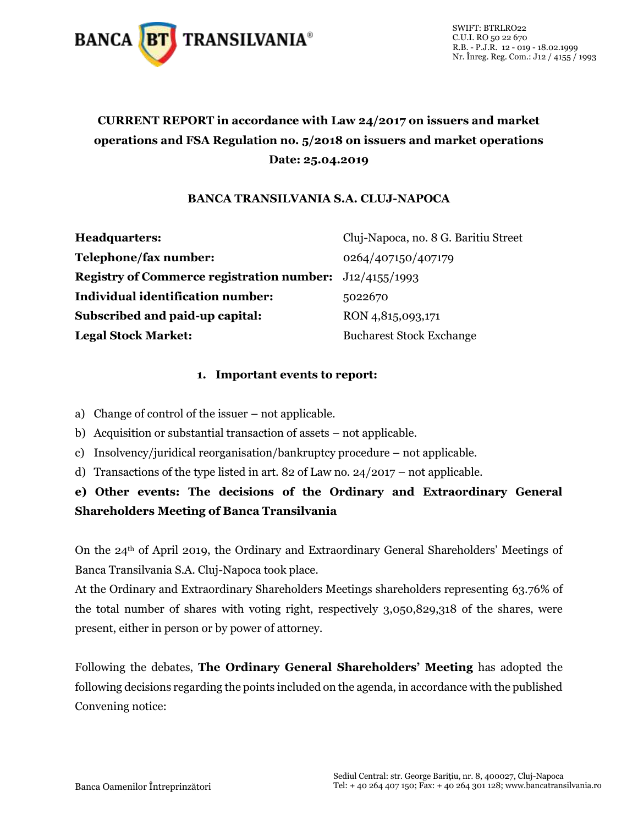

# **CURRENT REPORT in accordance with Law 24/2017 on issuers and market operations and FSA Regulation no. 5/2018 on issuers and market operations Date: 25.04.2019**

### **BANCA TRANSILVANIA S.A. CLUJ-NAPOCA**

| <b>Headquarters:</b>                                           | Cluj-Napoca, no. 8 G. Baritiu Street |
|----------------------------------------------------------------|--------------------------------------|
| Telephone/fax number:                                          | 0264/407150/407179                   |
| <b>Registry of Commerce registration number:</b> J12/4155/1993 |                                      |
| <b>Individual identification number:</b>                       | 5022670                              |
| Subscribed and paid-up capital:                                | RON 4,815,093,171                    |
| <b>Legal Stock Market:</b>                                     | <b>Bucharest Stock Exchange</b>      |

### **1. Important events to report:**

- a) Change of control of the issuer not applicable.
- b) Acquisition or substantial transaction of assets not applicable.
- c) Insolvency/juridical reorganisation/bankruptcy procedure not applicable.
- d) Transactions of the type listed in art. 82 of Law no. 24/2017 not applicable.

## **e) Other events: The decisions of the Ordinary and Extraordinary General Shareholders Meeting of Banca Transilvania**

On the 24th of April 2019, the Ordinary and Extraordinary General Shareholders' Meetings of Banca Transilvania S.A. Cluj-Napoca took place.

At the Ordinary and Extraordinary Shareholders Meetings shareholders representing 63.76% of the total number of shares with voting right, respectively 3,050,829,318 of the shares, were present, either in person or by power of attorney.

Following the debates, **The Ordinary General Shareholders' Meeting** has adopted the following decisions regarding the points included on the agenda, in accordance with the published Convening notice: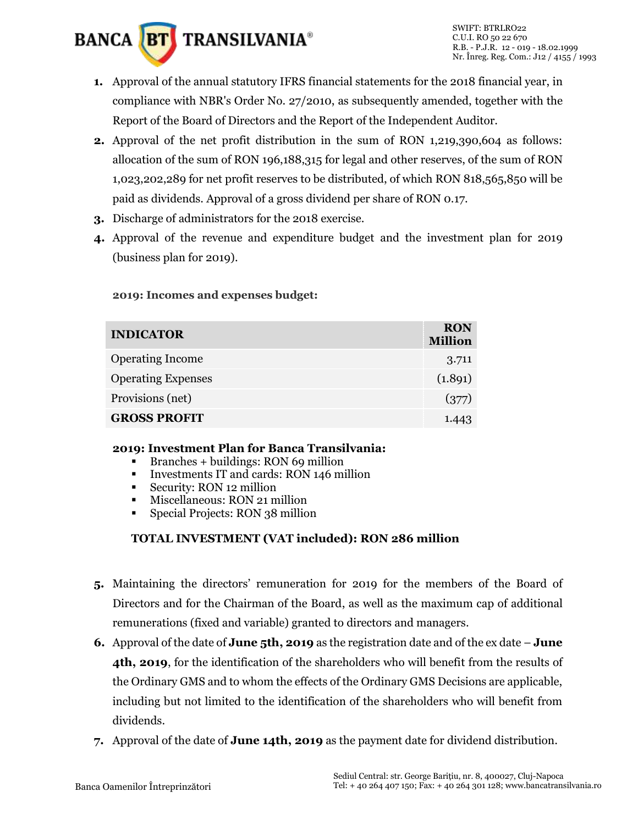

- **1.** Approval of the annual statutory IFRS financial statements for the 2018 financial year, in compliance with NBR's Order No. 27/2010, as subsequently amended, together with the Report of the Board of Directors and the Report of the Independent Auditor.
- **2.** Approval of the net profit distribution in the sum of RON 1,219,390,604 as follows: allocation of the sum of RON 196,188,315 for legal and other reserves, of the sum of RON 1,023,202,289 for net profit reserves to be distributed, of which RON 818,565,850 will be paid as dividends. Approval of a gross dividend per share of RON 0.17.
- **3.** Discharge of administrators for the 2018 exercise.
- **4.** Approval of the revenue and expenditure budget and the investment plan for 2019 (business plan for 2019).

### **2019: Incomes and expenses budget:**

| <b>INDICATOR</b>          | <b>RON</b><br><b>Million</b> |
|---------------------------|------------------------------|
| <b>Operating Income</b>   | 3.711                        |
| <b>Operating Expenses</b> | (1.891)                      |
| Provisions (net)          | (377)                        |
| <b>GROSS PROFIT</b>       |                              |

#### **2019: Investment Plan for Banca Transilvania:**

- $\blacksquare$  Branches + buildings: RON 69 million
- Investments IT and cards: RON 146 million
- Security: RON 12 million
- Miscellaneous: RON 21 million
- **Special Projects: RON 38 million**

## **TOTAL INVESTMENT (VAT included): RON 286 million**

- **5.** Maintaining the directors' remuneration for 2019 for the members of the Board of Directors and for the Chairman of the Board, as well as the maximum cap of additional remunerations (fixed and variable) granted to directors and managers.
- **6.** Approval of the date of **June 5th, 2019** as the registration date and of the ex date **June 4th, 2019**, for the identification of the shareholders who will benefit from the results of the Ordinary GMS and to whom the effects of the Ordinary GMS Decisions are applicable, including but not limited to the identification of the shareholders who will benefit from dividends.
- **7.** Approval of the date of **June 14th, 2019** as the payment date for dividend distribution.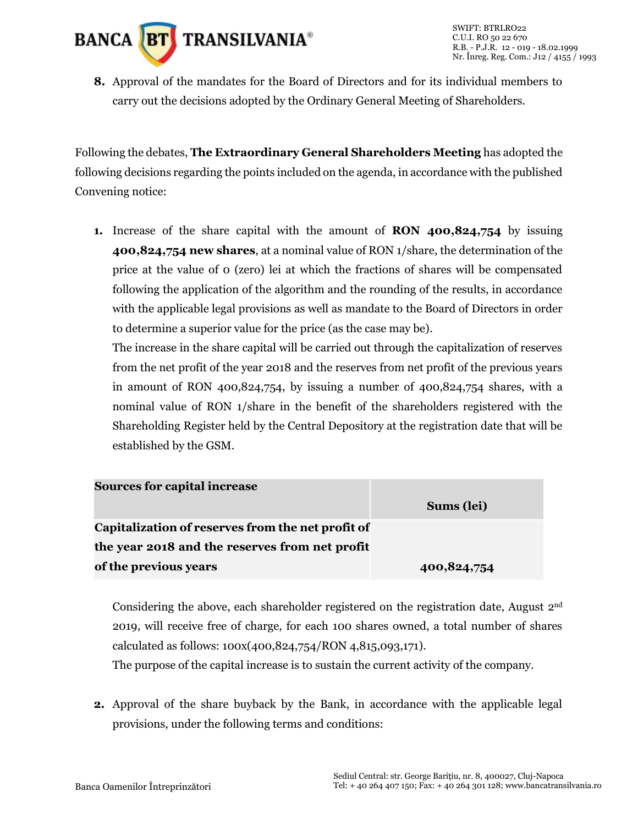

**8.** Approval of the mandates for the Board of Directors and for its individual members to carry out the decisions adopted by the Ordinary General Meeting of Shareholders.

Following the debates, **The Extraordinary General Shareholders Meeting** has adopted the following decisions regarding the points included on the agenda, in accordance with the published Convening notice:

**1.** Increase of the share capital with the amount of **RON 400,824,754** by issuing **400,824,754 new shares**, at a nominal value of RON 1/share, the determination of the price at the value of 0 (zero) lei at which the fractions of shares will be compensated following the application of the algorithm and the rounding of the results, in accordance with the applicable legal provisions as well as mandate to the Board of Directors in order to determine a superior value for the price (as the case may be).

The increase in the share capital will be carried out through the capitalization of reserves from the net profit of the year 2018 and the reserves from net profit of the previous years in amount of RON 400,824,754, by issuing a number of 400,824,754 shares, with a nominal value of RON 1/share in the benefit of the shareholders registered with the Shareholding Register held by the Central Depository at the registration date that will be established by the GSM.

| <b>Sources for capital increase</b>               |             |
|---------------------------------------------------|-------------|
|                                                   | Sums (lei)  |
| Capitalization of reserves from the net profit of |             |
| the year 2018 and the reserves from net profit    |             |
| of the previous years                             | 400,824,754 |

Considering the above, each shareholder registered on the registration date, August 2<sup>nd</sup> 2019, will receive free of charge, for each 100 shares owned, a total number of shares calculated as follows: 100x(400,824,754/RON 4,815,093,171).

The purpose of the capital increase is to sustain the current activity of the company.

**2.** Approval of the share buyback by the Bank, in accordance with the applicable legal provisions, under the following terms and conditions: